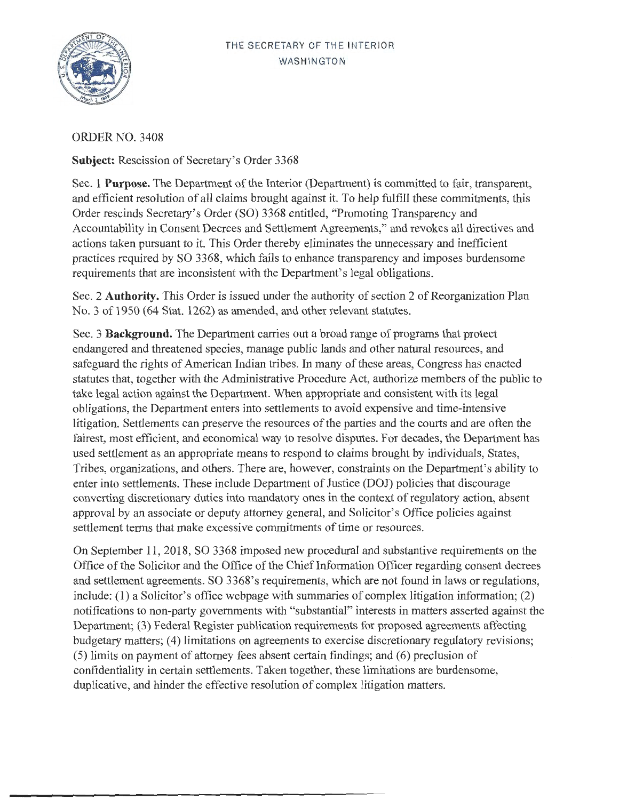## THE SECRETARY OF THE INTERIOR WASHINGTON



ORDER NO. 3408

**Subject:** Rescission of Secretary's Order 3368

Sec. 1 **Purpose.** The Department of the Interior (Department) is committed to fair, transparent, and efficient resolution of all claims brought against it. To help fulfill these commitments, this Order rescinds Secretary's Order (SO) 3368 entitled, "Promoting Transparency and Accountability in Consent Decrees and Settlement Agreements," and revokes all directives and actions taken pursuant to it. This Order thereby eliminates the unnecessary and inefficient practices required by SO 3368, which fails to enhance transparency and imposes burdensome requirements that are inconsistent with the Department's legal obligations.

Sec. 2 **Authority.** This Order is issued under the authority of section 2 of Reorganization Plan No. 3 of 1950 (64 Stat. 1262) as amended, and other relevant statutes.

Sec. 3 **Background.** The Department carries out a broad range of programs that protect endangered and threatened species, manage public lands and other natural resources, and safeguard the rights of American Indian tribes. In many of these areas, Congress has enacted statutes that, together with the Administrative Procedure Act, authorize members of the public to take legal action against the Department. When appropriate and consistent with its legal obligations, the Department enters into settlements to avoid expensive and time-intensive litigation. Settlements can preserve the resources of the parties and the courts and are often the fairest, most efficient, and economical way to resolve disputes. For decades, the Department has used settlement as an appropriate means to respond to claims brought by individuals, States, Tribes, organizations, and others. There are, however, constraints on the Department's ability to enter into settlements. These include Department of Justice (DOJ) policies that discourage converting discretionary duties into mandatory ones in the context of regulatory action, absent approval by an associate or deputy attorney general, and Solicitor's Office policies against settlement terms that make excessive commitments of time or resources.

On September 11, 2018, SO 3368 imposed new procedural and substantive requirements on the Office of the Solicitor and the Office of the Chief Information Officer regarding consent decrees and settlement agreements. SO 3368's requirements, which are not found in laws or regulations, include: (1) a Solicitor's office webpage with summaries of complex litigation information; (2) notifications to non-party governments with "substantial" interests in matters asserted against the Department; (3) Federal Register publication requirements for proposed agreements affecting budgetary matters; (4) limitations on agreements to exercise discretionary regulatory revisions; (5) limits on payment of attorney fees absent certain findings; and (6) preclusion of confidentiality in certain settlements. Taken together, these limitations are burdensome, duplicative, and hinder the effective resolution of complex litigation matters.